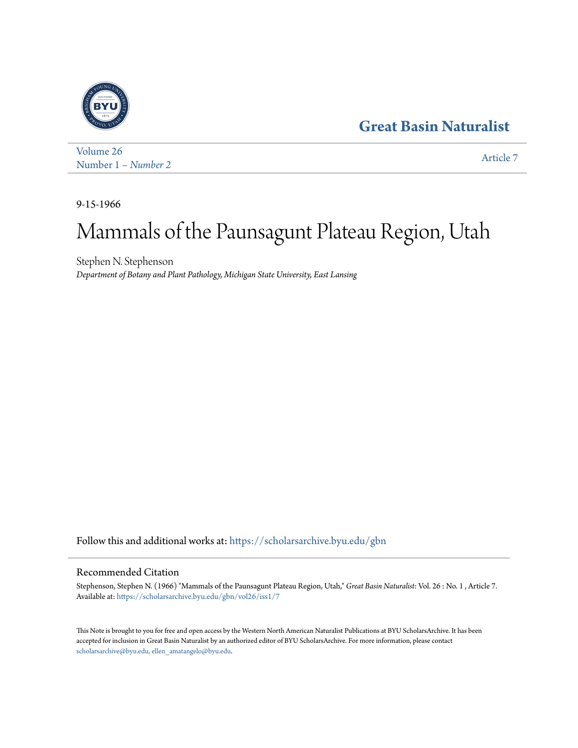# **[Great Basin Naturalist](https://scholarsarchive.byu.edu/gbn?utm_source=scholarsarchive.byu.edu%2Fgbn%2Fvol26%2Fiss1%2F7&utm_medium=PDF&utm_campaign=PDFCoverPages)**



[Volume 26](https://scholarsarchive.byu.edu/gbn/vol26?utm_source=scholarsarchive.byu.edu%2Fgbn%2Fvol26%2Fiss1%2F7&utm_medium=PDF&utm_campaign=PDFCoverPages) Number 1 *[– Number 2](https://scholarsarchive.byu.edu/gbn/vol26/iss1?utm_source=scholarsarchive.byu.edu%2Fgbn%2Fvol26%2Fiss1%2F7&utm_medium=PDF&utm_campaign=PDFCoverPages)* [Article 7](https://scholarsarchive.byu.edu/gbn/vol26/iss1/7?utm_source=scholarsarchive.byu.edu%2Fgbn%2Fvol26%2Fiss1%2F7&utm_medium=PDF&utm_campaign=PDFCoverPages)

9-15-1966

# Mammals of the Paunsagunt Plateau Region, Utah

Stephen N. Stephenson *Department of Botany and Plant Pathology, Michigan State University, East Lansing*

Follow this and additional works at: [https://scholarsarchive.byu.edu/gbn](https://scholarsarchive.byu.edu/gbn?utm_source=scholarsarchive.byu.edu%2Fgbn%2Fvol26%2Fiss1%2F7&utm_medium=PDF&utm_campaign=PDFCoverPages)

## Recommended Citation

Stephenson, Stephen N. (1966) "Mammals of the Paunsagunt Plateau Region, Utah," *Great Basin Naturalist*: Vol. 26 : No. 1 , Article 7. Available at: [https://scholarsarchive.byu.edu/gbn/vol26/iss1/7](https://scholarsarchive.byu.edu/gbn/vol26/iss1/7?utm_source=scholarsarchive.byu.edu%2Fgbn%2Fvol26%2Fiss1%2F7&utm_medium=PDF&utm_campaign=PDFCoverPages)

This Note is brought to you for free and open access by the Western North American Naturalist Publications at BYU ScholarsArchive. It has been accepted for inclusion in Great Basin Naturalist by an authorized editor of BYU ScholarsArchive. For more information, please contact [scholarsarchive@byu.edu, ellen\\_amatangelo@byu.edu.](mailto:scholarsarchive@byu.edu,%20ellen_amatangelo@byu.edu)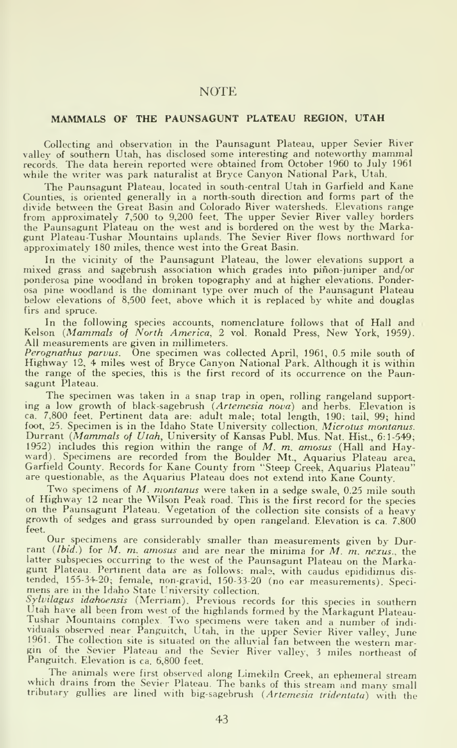### NOTE

#### MAMMALS OF THE PAUNSAGUNT PLATEAU REGION, UTAH

Collecting and observation in the Paunsagunt Plateau, upper Sevier River valley of southern Utah, has disclosed some interesting and noteworthy mammal records. The data herein reported were obtained from October 1960 to July 1961 while the writer was park naturalist at Bryce Canyon National Park, Utah.

The Paunsagunt Plateau, located in south-central Utah in Garfield and Kane Counties, is oriented generally in a north-south direction and forms part of the divide between the Great Basin and Colorado River watersheds. Elevations range from approximately 7,500 to 9,200 feet. The upper Sevier River valley borders the Paunsagunt Plateau on the west and is bordered on the west by the Markagunt Plateau-Tushar Mountains uplands. The Sevier River flows northward for approximately 180 miles, thence west into the Great Basin.

In the vicinity of the Paunsagunt Plateau, the lower elevations support a mixed grass and sagebrush association which grades into pinon-juniper and/or ponderosa pine woodland in broken topography and at higher elevations. Ponderosa pine woodland is the dominant type over much of the Paunsagunt Plateau below elevations of 8,500 feet, above which it is replaced by white and douglas firs and spruce.

In the following species accounts, nomenclature follows that of Hall and Kelson (*Mammals of North America*, 2 vol. Ronald Press, New York, 1959). All measurements are given in millimeters.

Perognathus parvus. One specimen was collected April, 1961, 0.5 mile south of Highway 12. <sup>4</sup> miles west of Bryce Canyon National Park. Although it is within the range of the species, this is the first record of its occurrence on the Paunsagunt Plateau.

The specimen was taken in a snap trap in open, rolling rangeland support ing a low growth of black-sagebrush (Artemesia nova) and herbs. Elevation is ca. 7,800 feet. Pertinent data are: adult male; total length, 190; tail. 99; hind foot, 25. Specimen is in the Idaho State University collection. Microtus montanus. Durrant (Mammals of Utah, University of Kansas Publ. Mus. Nat. Hist., 6:1-549; 1952) includes this region within the range of  $M$ .  $m$ , amosus (Hall and Hayward). Specimens are recorded from the Boulder Mt., Aquarius Plateau area,<br>Garfield County. Records for Kane County from "Steep Creek, Aquarius Plateau" are questionable, as the Aquarius Plateau does not extend into Kane County.

Two specimens of M. montanus were taken in <sup>a</sup> sedge swale, 0.25 mile south of Highway <sup>12</sup> near the Wilson Peak road. This is the first record for the species on the Paunsagunt Plateau. Vegetation of the collection site consists of a heavy growth of sedges and grass surrounded by open rangeland. Elevation is ca. 7,800 feet.

Our specimens are considerably smaller than measurements given by Durrant (Ibid.) for M. m. amosus and are near the minima for M. m. nexus., the latter subspecies occurring to the west of the Paunsagunt Plateau on the Marka-<br>gunt Plateau. Pertinent data are as follows: male, with caudus epididimus distended, 155-34-20; female, non-gravid, 150-33-20 (no ear measurements). Speci-<br>mens are in the Idaho State University collection.

Sylvilagus idahoensis (Merriam). Previous records for this species in southern<br>Utah have all been from west of the highlands formed by the Markagunt Plateau-Tushar Mountains complex. Two specimens were taken and a number of individuals observed near Panguitch, Utah, in the upper Sevier River valley, June 1961. The collection site is situated on the alluvial fan between the western margin of the Sevier Plateau and the Sevier River valley, <sup>3</sup> miles northeast of Panguitch. Elevation is ca. 6,800 feet.

The animals were first observed along Limekiln Creek, an ephemeral stream which drains from the Sevier Plateau. The banks of this stream and many small tributary gullies are lined with big-sagebrush {Artemesia tridentata) with the